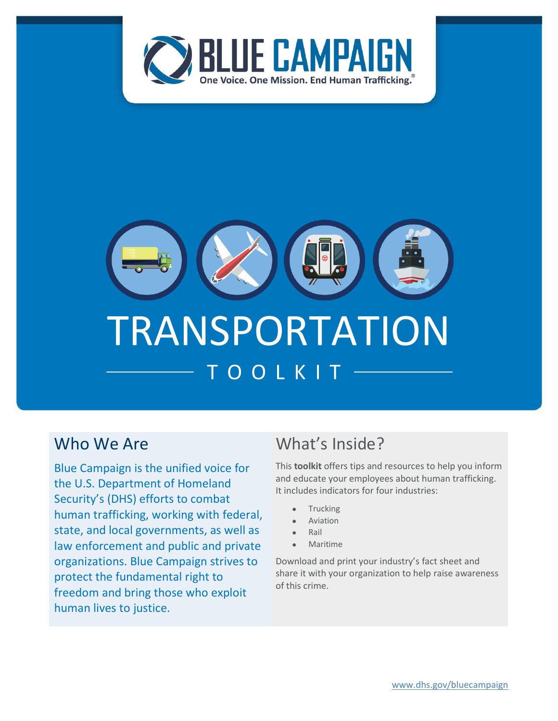



### Who We Are

Blue Campaign is the unified voice for the U.S. Department of Homeland Security's (DHS) efforts to combat human trafficking, working with federal, state, and local governments, as well as law enforcement and public and private organizations. Blue Campaign strives to protect the fundamental right to freedom and bring those who exploit human lives to justice.

### What's Inside?

This **toolkit** offers tips and resources to help you inform and educate your employees about human trafficking. It includes indicators for four industries:

- **Trucking**
- **Aviation**
- Rail
- Maritime

Download and print your industry's fact sheet and share it with your organization to help raise awareness of this crime.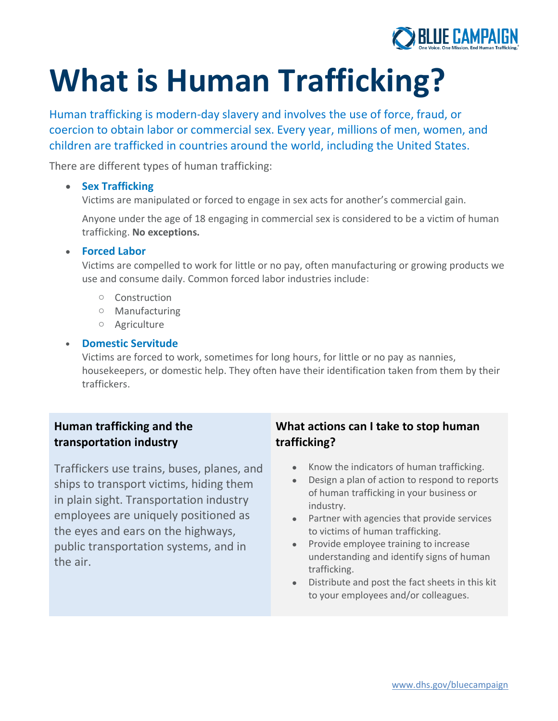

# **What is Human Trafficking?**

Human trafficking is modern-day slavery and involves the use of force, fraud, or coercion to obtain labor or commercial sex. Every year, millions of men, women, and children are trafficked in countries around the world, including the United States.

There are different types of human trafficking:

#### • **Sex Trafficking**

Victims are manipulated or forced to engage in sex acts for another's commercial gain.

Anyone under the age of 18 engaging in commercial sex is considered to be a victim of human trafficking. **No exceptions.**

#### • **Forced Labor**

Victims are compelled to work for little or no pay, often manufacturing or growing products we use and consume daily. Common forced labor industries include:

- o Construction
- o Manufacturing
- o Agriculture

#### • **Domestic Servitude**

Victims are forced to work, sometimes for long hours, for little or no pay as nannies, housekeepers, or domestic help. They often have their identification taken from them by their traffickers.

#### **Human trafficking and the transportation industry**

Traffickers use trains, buses, planes, and ships to transport victims, hiding them in plain sight. Transportation industry employees are uniquely positioned as the eyes and ears on the highways, public transportation systems, and in the air.

#### **What actions can I take to stop human trafficking?**

- Know the indicators of human trafficking.
- Design a plan of action to respond to reports of human trafficking in your business or industry.
- Partner with agencies that provide services to victims of human trafficking.
- Provide employee training to increase understanding and identify signs of human trafficking.
- Distribute and post the fact sheets in this kit to your employees and/or colleagues.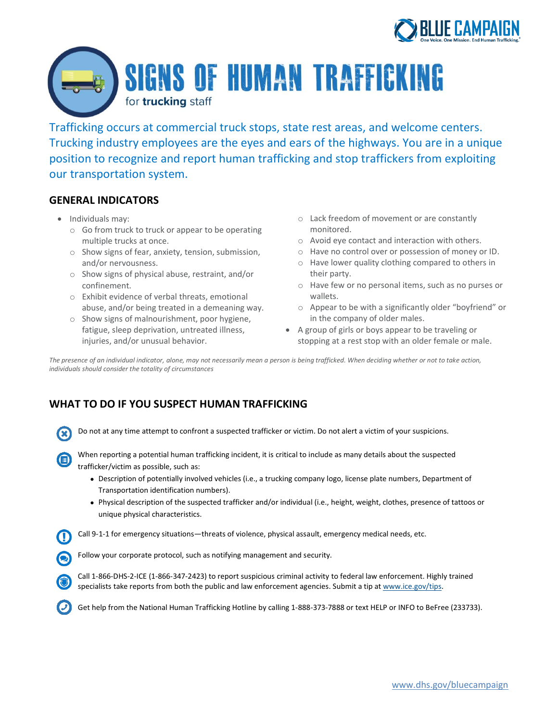

**SIGNS OF HUMAN TRAFFICKING** 

for trucking staff

Trafficking occurs at commercial truck stops, state rest areas, and welcome centers. Trucking industry employees are the eyes and ears of the highways. You are in a unique position to recognize and report human trafficking and stop traffickers from exploiting our transportation system.

#### **GENERAL INDICATORS**

- Individuals may:
	- o Go from truck to truck or appear to be operating multiple trucks at once.
	- o Show signs of fear, anxiety, tension, submission, and/or nervousness.
	- o Show signs of physical abuse, restraint, and/or confinement.
	- o Exhibit evidence of verbal threats, emotional abuse, and/or being treated in a demeaning way.
	- o Show signs of malnourishment, poor hygiene, fatigue, sleep deprivation, untreated illness, injuries, and/or unusual behavior.
- o Lack freedom of movement or are constantly monitored.
- o Avoid eye contact and interaction with others.
- o Have no control over or possession of money or ID. o Have lower quality clothing compared to others in
- their party.
- o Have few or no personal items, such as no purses or wallets.
- o Appear to be with a significantly older "boyfriend" or in the company of older males.
- A group of girls or boys appear to be traveling or stopping at a rest stop with an older female or male.

*The presence of an individual indicator, alone, may not necessarily mean a person is being trafficked. When deciding whether or not to take action, individuals should consider the totality of circumstances*

#### **WHAT TO DO IF YOU SUSPECT HUMAN TRAFFICKING**

Do not at any time attempt to confront a suspected trafficker or victim. Do not alert a victim of your suspicions.

When reporting a potential human trafficking incident, it is critical to include as many details about the suspected trafficker/victim as possible, such as:

- Description of potentially involved vehicles (i.e., a trucking company logo, license plate numbers, Department of Transportation identification numbers).
- Physical description of the suspected trafficker and/or individual (i.e., height, weight, clothes, presence of tattoos or unique physical characteristics.

Call 9-1-1 for emergency situations—threats of violence, physical assault, emergency medical needs, etc.

Follow your corporate protocol, such as notifying management and security.

Call 1-866-DHS-2-ICE (1-866-347-2423) to report suspicious criminal activity to federal law enforcement. Highly trained specialists take reports from both the public and law enforcement agencies. Submit a tip at [www.ice.gov/tips.](http://www.ice.gov/tips)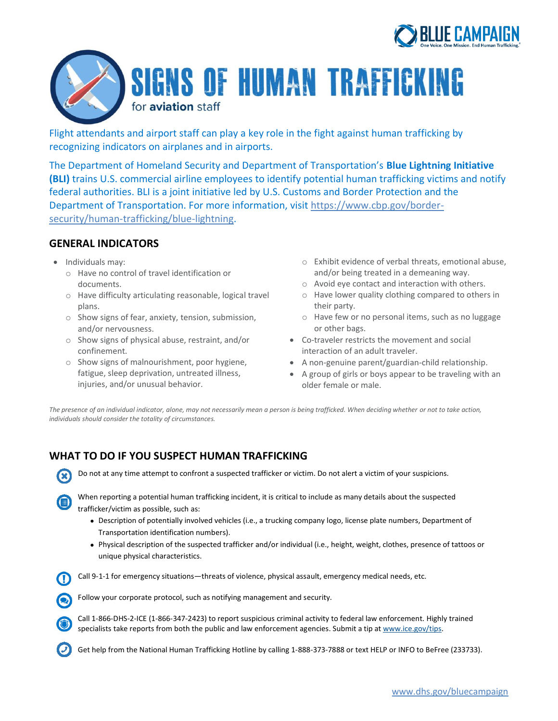

## **SIGNS OF HUMAN TRAFFICKING** for aviation staff

Flight attendants and airport staff can play a key role in the fight against human trafficking by recognizing indicators on airplanes and in airports.

The Department of Homeland Security and Department of Transportation's **Blue Lightning Initiative (BLI)** trains U.S. commercial airline employees to identify potential human trafficking victims and notify federal authorities. BLI is a joint initiative led by U.S. Customs and Border Protection and the Department of Transportation. For more information, visit [https://www.cbp.gov/border](https://www.cbp.gov/border-security/human-trafficking/blue-lightning)[security/human-trafficking/blue-lightning.](https://www.cbp.gov/border-security/human-trafficking/blue-lightning)

#### **GENERAL INDICATORS**

- Individuals may:
	- o Have no control of travel identification or documents.
	- o Have difficulty articulating reasonable, logical travel plans.
	- o Show signs of fear, anxiety, tension, submission, and/or nervousness.
	- o Show signs of physical abuse, restraint, and/or confinement.
	- o Show signs of malnourishment, poor hygiene, fatigue, sleep deprivation, untreated illness, injuries, and/or unusual behavior.
- o Exhibit evidence of verbal threats, emotional abuse, and/or being treated in a demeaning way.
- o Avoid eye contact and interaction with others.
- o Have lower quality clothing compared to others in their party.
- o Have few or no personal items, such as no luggage or other bags.
- Co-traveler restricts the movement and social interaction of an adult traveler.
- A non-genuine parent/guardian-child relationship.
- A group of girls or boys appear to be traveling with an older female or male.

*The presence of an individual indicator, alone, may not necessarily mean a person is being trafficked. When deciding whether or not to take action, individuals should consider the totality of circumstances.*

#### **WHAT TO DO IF YOU SUSPECT HUMAN TRAFFICKING**

Do not at any time attempt to confront a suspected trafficker or victim. Do not alert a victim of your suspicions.

When reporting a potential human trafficking incident, it is critical to include as many details about the suspected trafficker/victim as possible, such as:

- Description of potentially involved vehicles (i.e., a trucking company logo, license plate numbers, Department of Transportation identification numbers).
- Physical description of the suspected trafficker and/or individual (i.e., height, weight, clothes, presence of tattoos or unique physical characteristics.

Call 9-1-1 for emergency situations—threats of violence, physical assault, emergency medical needs, etc.



Call 1-866-DHS-2-ICE (1-866-347-2423) to report suspicious criminal activity to federal law enforcement. Highly trained specialists take reports from both the public and law enforcement agencies. Submit a tip at [www.ice.gov/tips.](http://www.ice.gov/tips)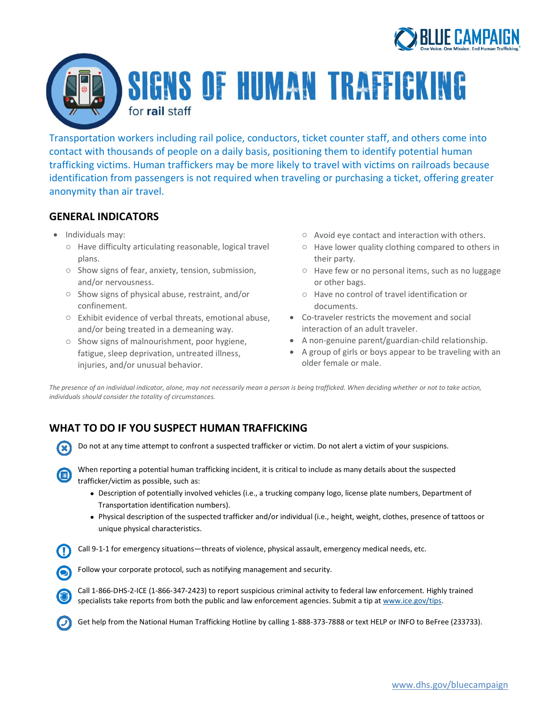

**SIGNS OF HUMAN TRAFFICKING** for rail staff

Transportation workers including rail police, conductors, ticket counter staff, and others come into contact with thousands of people on a daily basis, positioning them to identify potential human trafficking victims. Human traffickers may be more likely to travel with victims on railroads because identification from passengers is not required when traveling or purchasing a ticket, offering greater anonymity than air travel.

#### **GENERAL INDICATORS**

• Individuals may:

œ

- o Have difficulty articulating reasonable, logical travel plans.
- o Show signs of fear, anxiety, tension, submission, and/or nervousness.
- o Show signs of physical abuse, restraint, and/or confinement.
- o Exhibit evidence of verbal threats, emotional abuse, and/or being treated in a demeaning way.
- o Show signs of malnourishment, poor hygiene, fatigue, sleep deprivation, untreated illness, injuries, and/or unusual behavior.
- o Avoid eye contact and interaction with others.
- o Have lower quality clothing compared to others in their party.
- o Have few or no personal items, such as no luggage or other bags.
- o Have no control of travel identification or documents.
- Co-traveler restricts the movement and social interaction of an adult traveler.
- A non-genuine parent/guardian-child relationship.
- A group of girls or boys appear to be traveling with an older female or male.

*The presence of an individual indicator, alone, may not necessarily mean a person is being trafficked. When deciding whether or not to take action, individuals should consider the totality of circumstances.*

#### **WHAT TO DO IF YOU SUSPECT HUMAN TRAFFICKING**

Do not at any time attempt to confront a suspected trafficker or victim. Do not alert a victim of your suspicions.

When reporting a potential human trafficking incident, it is critical to include as many details about the suspected trafficker/victim as possible, such as:

- Description of potentially involved vehicles (i.e., a trucking company logo, license plate numbers, Department of Transportation identification numbers).
- Physical description of the suspected trafficker and/or individual (i.e., height, weight, clothes, presence of tattoos or unique physical characteristics.

Call 9-1-1 for emergency situations—threats of violence, physical assault, emergency medical needs, etc.

Follow your corporate protocol, such as notifying management and security.

Call 1-866-DHS-2-ICE (1-866-347-2423) to report suspicious criminal activity to federal law enforcement. Highly trained specialists take reports from both the public and law enforcement agencies. Submit a tip at [www.ice.gov/tips.](http://www.ice.gov/tips)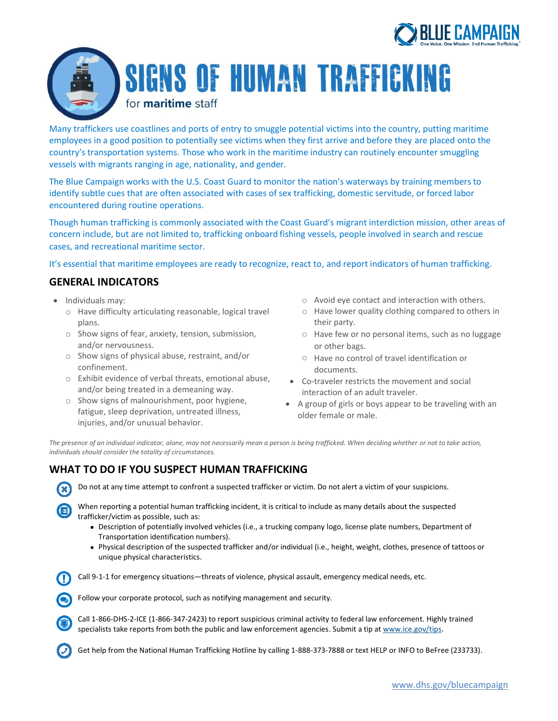

# **SIGNS OF HUMAN TRAFFICKING**

for maritime staff

Many traffickers use coastlines and ports of entry to smuggle potential victims into the country, putting maritime employees in a good position to potentially see victims when they first arrive and before they are placed onto the country's transportation systems. Those who work in the maritime industry can routinely encounter smuggling vessels with migrants ranging in age, nationality, and gender.

The Blue Campaign works with the U.S. Coast Guard to monitor the nation's waterways by training members to identify subtle cues that are often associated with cases of sex trafficking, domestic servitude, or forced labor encountered during routine operations.

Though human trafficking is commonly associated with the Coast Guard's migrant interdiction mission, other areas of concern include, but are not limited to, trafficking onboard fishing vessels, people involved in search and rescue cases, and recreational maritime sector.

It's essential that maritime employees are ready to recognize, react to, and report indicators of human trafficking.

#### **GENERAL INDICATORS**

• Individuals may:

 $\bigcirc$ 

- o Have difficulty articulating reasonable, logical travel plans.
- o Show signs of fear, anxiety, tension, submission, and/or nervousness.
- o Show signs of physical abuse, restraint, and/or confinement.
- o Exhibit evidence of verbal threats, emotional abuse, and/or being treated in a demeaning way.
- o Show signs of malnourishment, poor hygiene, fatigue, sleep deprivation, untreated illness, injuries, and/or unusual behavior.
- o Avoid eye contact and interaction with others.
- o Have lower quality clothing compared to others in their party.
- o Have few or no personal items, such as no luggage or other bags.
- o Have no control of travel identification or documents.
- Co-traveler restricts the movement and social interaction of an adult traveler.
- A group of girls or boys appear to be traveling with an older female or male.

*The presence of an individual indicator, alone, may not necessarily mean a person is being trafficked. When deciding whether or not to take action, individuals should consider the totality of circumstances.*

#### **WHAT TO DO IF YOU SUSPECT HUMAN TRAFFICKING**

Do not at any time attempt to confront a suspected trafficker or victim. Do not alert a victim of your suspicions. ®

When reporting a potential human trafficking incident, it is critical to include as many details about the suspected trafficker/victim as possible, such as:

- Description of potentially involved vehicles (i.e., a trucking company logo, license plate numbers, Department of Transportation identification numbers).
- Physical description of the suspected trafficker and/or individual (i.e., height, weight, clothes, presence of tattoos or unique physical characteristics.

Call 9-1-1 for emergency situations—threats of violence, physical assault, emergency medical needs, etc.



Call 1-866-DHS-2-ICE (1-866-347-2423) to report suspicious criminal activity to federal law enforcement. Highly trained specialists take reports from both the public and law enforcement agencies. Submit a tip at [www.ice.gov/tips.](http://www.ice.gov/tips)